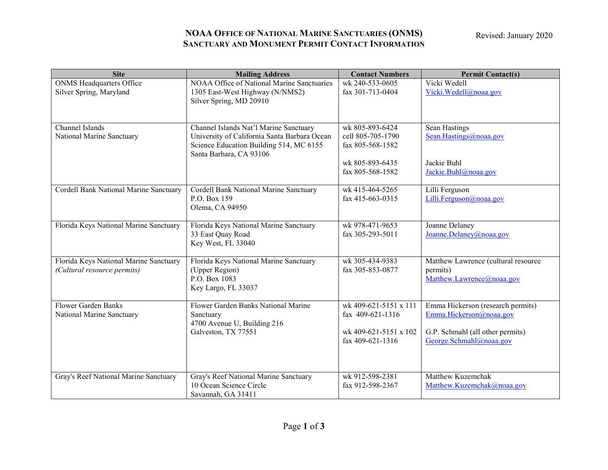Revised: January 2020

## **NOAA OFFICE OF NATIONAL MARINE SANCTUARIES (ONMS) SANCTUARY AND MONUMENT PERMIT CONTACT INFORMATION**

| <b>Site</b>                                                           | <b>Mailing Address</b>                                                                                                                                       | <b>Contact Numbers</b>                                                                          | <b>Permit Contact(s)</b>                                                                                                    |
|-----------------------------------------------------------------------|--------------------------------------------------------------------------------------------------------------------------------------------------------------|-------------------------------------------------------------------------------------------------|-----------------------------------------------------------------------------------------------------------------------------|
| <b>ONMS</b> Headquarters Office<br>Silver Spring, Maryland            | NOAA Office of National Marine Sanctuaries<br>1305 East-West Highway (N/NMS2)<br>Silver Spring, MD 20910                                                     | wk 240-533-0605<br>fax 301-713-0404                                                             | Vicki Wedell<br>Vicki. Wedell@noaa.gov                                                                                      |
| Channel Islands<br>National Marine Sanctuary                          | Channel Islands Nat'l Marine Sanctuary<br>University of California Santa Barbara Ocean<br>Science Education Building 514, MC 6155<br>Santa Barbara, CA 93106 | wk 805-893-6424<br>cell 805-705-1790<br>fax 805-568-1582<br>wk 805-893-6435<br>fax 805-568-1582 | Sean Hastings<br>Sean.Hastings@noaa.gov<br>Jackie Buhl<br>Jackie.Buhl@noaa.gov                                              |
| Cordell Bank National Marine Sanctuary                                | Cordell Bank National Marine Sanctuary<br>P.O. Box 159<br>Olema, CA 94950                                                                                    | wk 415-464-5265<br>fax 415-663-0315                                                             | Lilli Ferguson<br>Lilli.Ferguson@noaa.gov                                                                                   |
| Florida Keys National Marine Sanctuary                                | Florida Keys National Marine Sanctuary<br>33 East Quay Road<br>Key West, FL 33040                                                                            | wk 978-471-9653<br>fax 305-293-5011                                                             | Joanne Delaney<br>Joanne.Delaney@noaa.gov                                                                                   |
| Florida Keys National Marine Sanctuary<br>(Cultural resource permits) | Florida Keys National Marine Sanctuary<br>(Upper Region)<br>P.O. Box 1083<br>Key Largo, FL 33037                                                             | wk 305-434-9383<br>fax 305-853-0877                                                             | Matthew Lawrence (cultural resource<br>permits)<br>Matthew.Lawrence@noaa.gov                                                |
| Flower Garden Banks<br>National Marine Sanctuary                      | Flower Garden Banks National Marine<br>Sanctuary<br>4700 Avenue U, Building 216<br>Galveston, TX 77551                                                       | wk 409-621-5151 x 111<br>fax $409-621-1316$<br>wk 409-621-5151 x 102<br>fax $409-621-1316$      | Emma Hickerson (research permits)<br>Emma.Hickerson@noaa.gov<br>G.P. Schmahl (all other permits)<br>George.Schmahl@noaa.gov |
| Gray's Reef National Marine Sanctuary                                 | Gray's Reef National Marine Sanctuary<br>10 Ocean Science Circle<br>Savannah, GA 31411                                                                       | wk 912-598-2381<br>fax 912-598-2367                                                             | Matthew Kuzemchak<br>Matthew.Kuzemchak@noaa.gov                                                                             |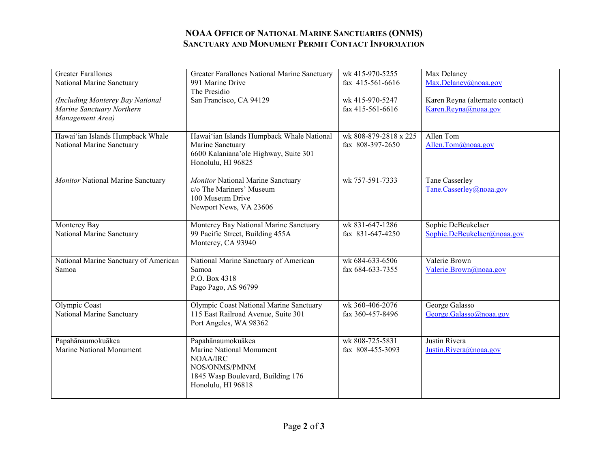## **NOAA OFFICE OF NATIONAL MARINE SANCTUARIES (ONMS) SANCTUARY AND MONUMENT PERMIT CONTACT INFORMATION**

| <b>Greater Farallones</b>             | Greater Farallones National Marine Sanctuary | wk 415-970-5255       | Max Delaney                     |
|---------------------------------------|----------------------------------------------|-----------------------|---------------------------------|
| National Marine Sanctuary             | 991 Marine Drive                             | fax 415-561-6616      | Max.Delaney@noaa.gov            |
|                                       | The Presidio                                 |                       |                                 |
| (Including Monterey Bay National      | San Francisco, CA 94129                      | wk 415-970-5247       | Karen Reyna (alternate contact) |
| Marine Sanctuary Northern             |                                              | fax 415-561-6616      | Karen.Reyna@noaa.gov            |
| Management Area)                      |                                              |                       |                                 |
|                                       |                                              |                       |                                 |
| Hawai'ian Islands Humpback Whale      | Hawai'ian Islands Humpback Whale National    | wk 808-879-2818 x 225 | Allen Tom                       |
| National Marine Sanctuary             | Marine Sanctuary                             | fax 808-397-2650      | Allen.Tom $\omega$ noaa.gov     |
|                                       | 6600 Kalaniana'ole Highway, Suite 301        |                       |                                 |
|                                       | Honolulu, HI 96825                           |                       |                                 |
|                                       |                                              |                       |                                 |
| Monitor National Marine Sanctuary     | Monitor National Marine Sanctuary            | wk 757-591-7333       | Tane Casserley                  |
|                                       | c/o The Mariners' Museum                     |                       | Tane.Casserley@noaa.gov         |
|                                       | 100 Museum Drive                             |                       |                                 |
|                                       | Newport News, VA 23606                       |                       |                                 |
|                                       |                                              |                       |                                 |
| Monterey Bay                          | Monterey Bay National Marine Sanctuary       | wk 831-647-1286       | Sophie DeBeukelaer              |
| National Marine Sanctuary             | 99 Pacific Street, Building 455A             | fax 831-647-4250      | Sophie.DeBeukelaer@noaa.gov     |
|                                       | Monterey, CA 93940                           |                       |                                 |
|                                       |                                              |                       |                                 |
| National Marine Sanctuary of American | National Marine Sanctuary of American        | wk 684-633-6506       | Valerie Brown                   |
| Samoa                                 | Samoa                                        | fax 684-633-7355      | Valerie.Brown@noaa.gov          |
|                                       | P.O. Box 4318                                |                       |                                 |
|                                       | Pago Pago, AS 96799                          |                       |                                 |
|                                       |                                              |                       |                                 |
| Olympic Coast                         | Olympic Coast National Marine Sanctuary      | wk 360-406-2076       | George Galasso                  |
| National Marine Sanctuary             | 115 East Railroad Avenue, Suite 301          | fax 360-457-8496      | George.Galasso@noaa.gov         |
|                                       | Port Angeles, WA 98362                       |                       |                                 |
|                                       |                                              |                       |                                 |
| Papahānaumokuākea                     | Papahānaumokuākea                            | wk 808-725-5831       | Justin Rivera                   |
| <b>Marine National Monument</b>       | Marine National Monument                     | fax 808-455-3093      | Justin.Rivera@noaa.gov          |
|                                       | <b>NOAA/IRC</b>                              |                       |                                 |
|                                       | NOS/ONMS/PMNM                                |                       |                                 |
|                                       | 1845 Wasp Boulevard, Building 176            |                       |                                 |
|                                       | Honolulu, HI 96818                           |                       |                                 |
|                                       |                                              |                       |                                 |